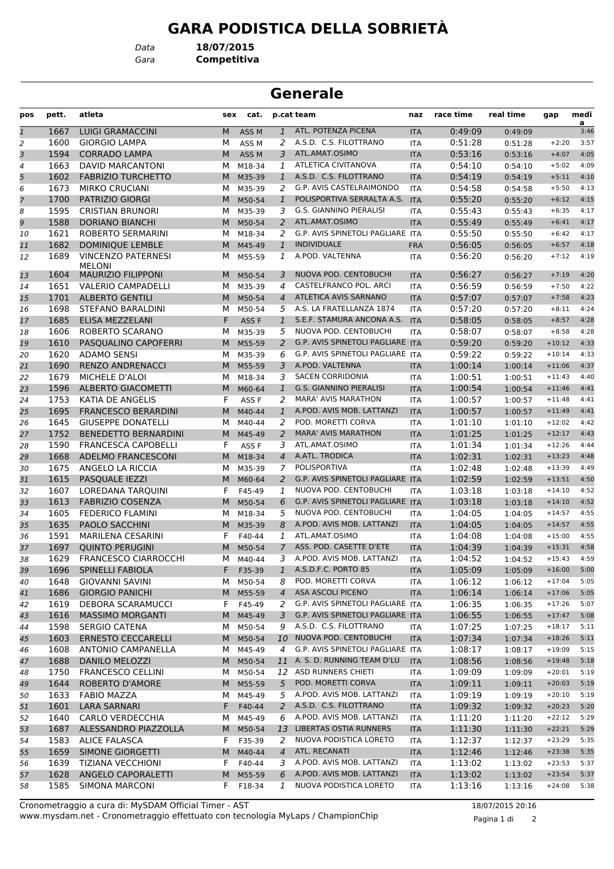## **GARA PODISTICA DELLA SOBRIETÀ**

**Generale**

**pos pett. atleta sex cat. team race time real time gap medi**

**p.cat naz**

*Gara* **Competitiva** *Data* **18/07/2015**

 $\frac{2}{3:46}$ 1 1667 LUIGI GRAMACCINI MASS M 1 ATL. POTENZA PICENA ITA 0:49:09 0:49:09 1600 GIORGIO LAMPA M ASS M *2* A.S.D. C.S. FILOTTRANO ITA 0:51:28 0:51:28 +2:20 3:57 1594 CORRADO LAMPA M ASS M *3* ATL.AMAT.OSIMO ITA 0:53:16 0:53:16 +4:07 4:05 1663 DAVID MARCANTONI M M18-34 *1* ATLETICA CIVITANOVA ITA 0:54:10 0:54:10 +5:02 4:09 1602 FABRIZIO TURCHETTO M M35-39 *1* A.S.D. C.S. FILOTTRANO ITA 0:54:19 0:54:19 +5:11 4:10 1673 MIRKO CRUCIANI M M35-39 *2* G.P. AVIS CASTELRAIMONDO ITA 0:54:58 0:54:58 +5:50 4:13 1700 PATRIZIO GIORGI M M50-54 *1* POLISPORTIVA SERRALTA A.S. ITA 0:55:20 0:55:20 +6:12 4:15 1595 CRISTIAN BRUNORI M M35-39 *3* G.S. GIANNINO PIERALISI ITA 0:55:43 0:55:43 +6:35 4:17 1588 DORIANO BIANCHI M M50-54 *2* ATL.AMAT.OSIMO ITA 0:55:49 0:55:49 +6:41 4:17 1621 ROBERTO SERMARINI M M18-34 *2* G.P. AVIS SPINETOLI PAGLIARE ITA 0:55:50 0:55:50 +6:42 4:17 1682 DOMINIQUE LEMBLE M M45-49 *1* INDIVIDUALE FRA 0:56:05 0:56:05 +6:57 4:18 VINCENZO PATERNESI M M55-59 *1* A.POD. VALTENNA ITA 0:56:20 0:56:20 +7:12 4:19 MELONI 1604 MAURIZIO FILIPPONI M M50-54 *3* NUOVA POD. CENTOBUCHI ITA 0:56:27 0:56:27 +7:19 4:20 1651 VALERIO CAMPADELLI M M35-39 *4* CASTELFRANCO POL. ARCI ITA 0:56:59 0:56:59 +7:50 4:22 1701 ALBERTO GENTILI M M50-54 *4* ATLETICA AVIS SARNANO ITA 0:57:07 0:57:07 +7:58 4:23 1698 STEFANO BARALDINI M M50-54 *5* A.S. LA FRATELLANZA 1874 ITA 0:57:20 0:57:20 +8:11 4:24 1685 ELISA MEZZELANI F ASS F *1* S.E.F. STAMURA ANCONA A.S. ITA 0:58:05 0:58:05 +8:57 4:28 1606 ROBERTO SCARANO M M35-39 *5* NUOVA POD. CENTOBUCHI ITA 0:58:07 0:58:07 +8:58 4:28 1610 PASQUALINO CAPOFERRI M M55-59 *2* G.P. AVIS SPINETOLI PAGLIARE ITA 0:59:20 0:59:20 +10:12 4:33 1620 ADAMO SENSI M M35-39 *6* G.P. AVIS SPINETOLI PAGLIARE ITA 0:59:22 0:59:22 +10:14 4:33 1690 RENZO ANDRENACCI M M55-59 *3* A.POD. VALTENNA ITA 1:00:14 1:00:14 +11:06 4:37 1679 MICHELE D'ALOI M M18-34 *3* SACEN CORRIDONIA ITA 1:00:51 1:00:51 +11:43 4:40 1596 ALBERTO GIACOMETTI M M60-64 *1* G.S. GIANNINO PIERALISI ITA 1:00:54 1:00:54 +11:46 4:41 1753 KATIA DE ANGELIS F ASS F *2* MARA' AVIS MARATHON ITA 1:00:57 1:00:57 +11:48 4:41 1695 FRANCESCO BERARDINI M M40-44 *1* A.POD. AVIS MOB. LATTANZI ITA 1:00:57 1:00:57 +11:49 4:41 1645 GIUSEPPE DONATELLI M M40-44 *2* POD. MORETTI CORVA ITA 1:01:10 1:01:10 +12:02 4:42 1752 BENEDETTO BERNARDINI M M45-49 *2* MARA' AVIS MARATHON ITA 1:01:25 1:01:25 +12:17 4:43 1590 FRANCESCA CAPOBELLI F ASS F *3* ATL.AMAT.OSIMO ITA 1:01:34 1:01:34 +12:26 4:44 1668 ADELMO FRANCESCONI M M18-34 *4* A.ATL. TRODICA ITA 1:02:31 1:02:31 +13:23 4:48 1675 ANGELO LA RICCIA M M35-39 *7* POLISPORTIVA ITA 1:02:48 1:02:48 +13:39 4:49 1615 PASQUALE IEZZI M M60-64 *2* G.P. AVIS SPINETOLI PAGLIARE ITA 1:02:59 1:02:59 +13:51 4:50 1607 LOREDANA TARQUINI F F45-49 *1* NUOVA POD. CENTOBUCHI ITA 1:03:18 1:03:18 +14:10 4:52 1613 FABRIZIO COSENZA M M50-54 *6* G.P. AVIS SPINETOLI PAGLIARE ITA 1:03:18 1:03:18 +14:10 4:52 1605 FEDERICO FLAMINI M M18-34 *5* NUOVA POD. CENTOBUCHI ITA 1:04:05 1:04:05 +14:57 4:55 1635 PAOLO SACCHINI M M35-39 *8* A.POD. AVIS MOB. LATTANZI ITA 1:04:05 1:04:05 +14:57 4:55 1591 MARILENA CESARINI F F40-44 *1* ATL.AMAT.OSIMO ITA 1:04:08 1:04:08 +15:00 4:55 1697 QUINTO PERUGINI M M50-54 *7* ASS. POD. CASETTE D'ETE ITA 1:04:39 1:04:39 +15:31 4:58 1629 FRANCESCO CIARROCCHI M M40-44 *3* A.POD. AVIS MOB. LATTANZI ITA 1:04:52 1:04:52 +15:43 4:59 1696 SPINELLI FABIOLA F F35-39 *1* A.S.D.F.C. PORTO 85 ITA 1:05:09 1:05:09 +16:00 5:00 1648 GIOVANNI SAVINI M M50-54 *8* POD. MORETTI CORVA ITA 1:06:12 1:06:12 +17:04 5:05 1686 GIORGIO PANICHI M M55-59 *4* ASA ASCOLI PICENO ITA 1:06:14 1:06:14 +17:06 5:05 1619 DEBORA SCARAMUCCI F F45-49 *2* G.P. AVIS SPINETOLI PAGLIARE ITA 1:06:35 1:06:35 +17:26 5:07 1616 MASSIMO MORGANTI M M45-49 *3* G.P. AVIS SPINETOLI PAGLIARE ITA 1:06:55 1:06:55 +17:47 5:08 1598 SERGIO CATENA M M50-54 *9* A.S.D. C.S. FILOTTRANO ITA 1:07:25 1:07:25 +18:17 5:11 1603 ERNESTO CECCARELLI M M50-54 *10* NUOVA POD. CENTOBUCHI ITA 1:07:34 1:07:34 +18:26 5:11 1608 ANTONIO CAMPANELLA M M45-49 *4* G.P. AVIS SPINETOLI PAGLIARE ITA 1:08:17 1:08:17 +19:09 5:15 1688 DANILO MELOZZI M M50-54 *11* A. S. D. RUNNING TEAM D'LU ITA 1:08:56 1:08:56 +19:48 5:18 1750 FRANCESCO CELLINI M M50-54 *12* ASD RUNNERS CHIETI ITA 1:09:09 1:09:09 +20:01 5:19 1644 ROBERTO D'AMORE M M55-59 *5* POD. MORETTI CORVA ITA 1:09:11 1:09:11 +20:03 5:19 1633 FABIO MAZZA M M45-49 *5* A.POD. AVIS MOB. LATTANZI ITA 1:09:19 1:09:19 +20:10 5:19 1601 LARA SARNARI F F40-44 *2* A.S.D. C.S. FILOTTRANO ITA 1:09:32 1:09:32 +20:23 5:20 1640 CARLO VERDECCHIA M M45-49 *6* A.POD. AVIS MOB. LATTANZI ITA 1:11:20 1:11:20 +22:12 5:29 1687 ALESSANDRO PIAZZOLLA M M50-54 *13* LIBERTAS OSTIA RUNNERS ITA 1:11:30 1:11:30 +22:21 5:29 1583 ALICE FALASCA F F35-39 *2* NUOVA PODISTICA LORETO ITA 1:12:37 1:12:37 +23:29 5:35 1659 SIMONE GIORGETTI M M40-44 *4* ATL. RECANATI ITA 1:12:46 1:12:46 +23:38 5:35 1639 TIZIANA VECCHIONI F F40-44 *3* A.POD. AVIS MOB. LATTANZI ITA 1:13:02 1:13:02 +23:53 5:37 1628 ANGELO CAPORALETTI M M55-59 *6* A.POD. AVIS MOB. LATTANZI ITA 1:13:02 1:13:02 +23:54 5:37 1585 SIMONA MARCONI F F18-34 *1* NUOVA PODISTICA LORETO ITA 1:13:16 1:13:16 +24:08 5:38 Cronometraggio a cura di: MySDAM Official Timer - AST 18/07/2015 20:16

www.mysdam.net - Cronometraggio effettuato con tecnologia MyLaps / ChampionChip

Pagina 1 di 2